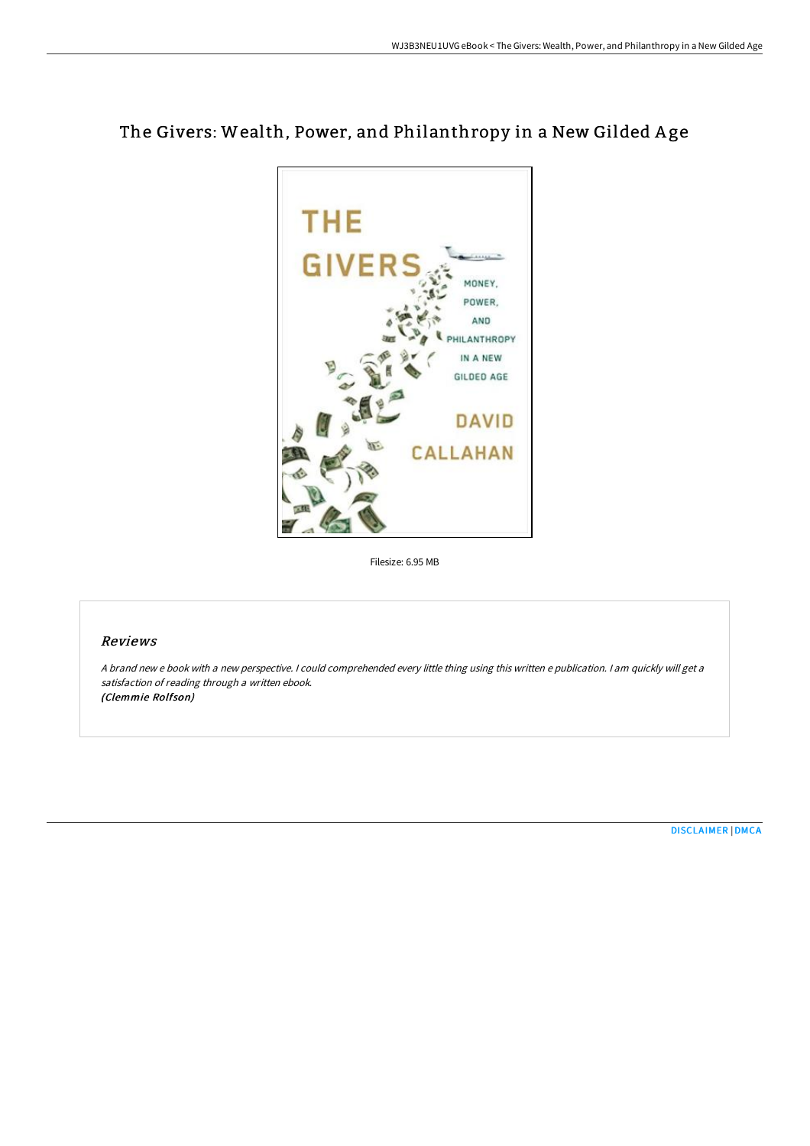



Filesize: 6.95 MB

## Reviews

A brand new <sup>e</sup> book with <sup>a</sup> new perspective. I could comprehended every little thing using this written <sup>e</sup> publication. I am quickly will get <sup>a</sup> satisfaction of reading through <sup>a</sup> written ebook. (Clemmie Rolfson)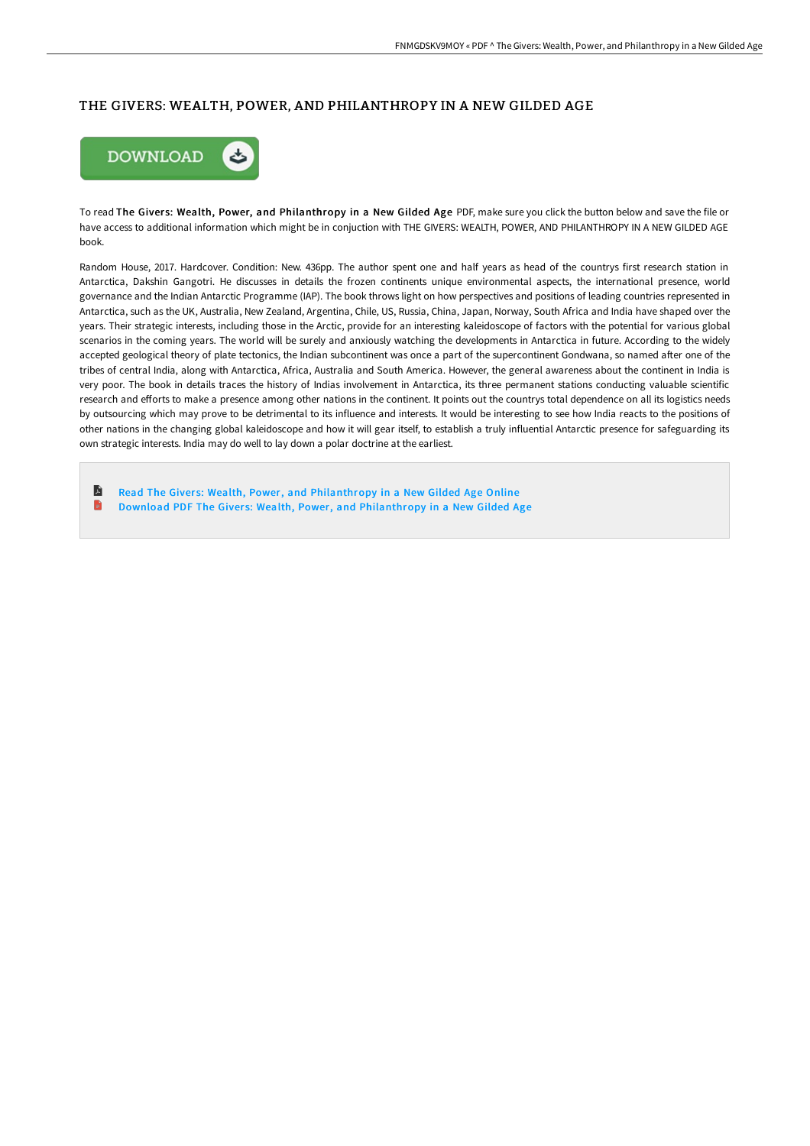## THE GIVERS: WEALTH, POWER, AND PHILANTHROPY IN A NEW GILDED AGE



To read The Givers: Wealth, Power, and Philanthropy in a New Gilded Age PDF, make sure you click the button below and save the file or have access to additional information which might be in conjuction with THE GIVERS: WEALTH, POWER, AND PHILANTHROPY IN A NEW GILDED AGE book.

Random House, 2017. Hardcover. Condition: New. 436pp. The author spent one and half years as head of the countrys first research station in Antarctica, Dakshin Gangotri. He discusses in details the frozen continents unique environmental aspects, the international presence, world governance and the Indian Antarctic Programme (IAP). The book throws light on how perspectives and positions of leading countries represented in Antarctica, such as the UK, Australia, New Zealand, Argentina, Chile, US, Russia, China, Japan, Norway, South Africa and India have shaped over the years. Their strategic interests, including those in the Arctic, provide for an interesting kaleidoscope of factors with the potential for various global scenarios in the coming years. The world will be surely and anxiously watching the developments in Antarctica in future. According to the widely accepted geological theory of plate tectonics, the Indian subcontinent was once a part of the supercontinent Gondwana, so named after one of the tribes of central India, along with Antarctica, Africa, Australia and South America. However, the general awareness about the continent in India is very poor. The book in details traces the history of Indias involvement in Antarctica, its three permanent stations conducting valuable scientific research and efforts to make a presence among other nations in the continent. It points out the countrys total dependence on all its logistics needs by outsourcing which may prove to be detrimental to its influence and interests. It would be interesting to see how India reacts to the positions of other nations in the changing global kaleidoscope and how it will gear itself, to establish a truly influential Antarctic presence for safeguarding its own strategic interests. India may do well to lay down a polar doctrine at the earliest.

E Read The Givers: Wealth, Power, and [Philanthropy](http://www.bookdirs.com/the-givers-wealth-power-and-philanthropy-in-a-ne.html) in a New Gilded Age Online D Download PDF The Givers: Wealth, Power, and [Philanthropy](http://www.bookdirs.com/the-givers-wealth-power-and-philanthropy-in-a-ne.html) in a New Gilded Age